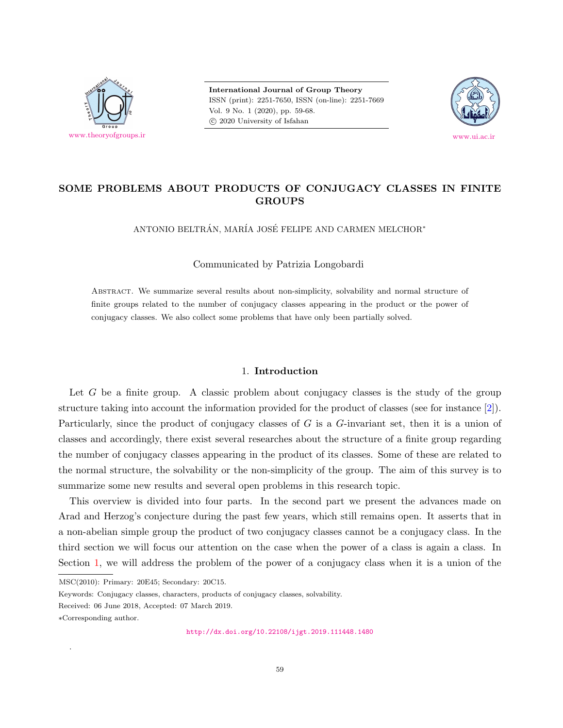

**International Journal of Group Theory** ISSN (print): 2251-7650, ISSN (on-line): 2251-7669 Vol. 9 No. 1 (2020), pp. 59-68. *⃝*c 2020 University of Isfahan



# **SOME PROBLEMS ABOUT PRODUCTS OF CONJUGACY CLASSES IN FINITE GROUPS**

ANTONIO BELTRÁN, MARÍA JOSÉ FELIPE AND CARMEN MELCHOR<sup>\*</sup>

Communicated by Patrizia Longobardi

Abstract. We summarize several results about non-simplicity, solvability and normal structure of finite groups related to the number of conjugacy classes appearing in the product or the power of conjugacy classes. We also collect some problems that have only been partially solved.

## 1. **Introduction**

<span id="page-0-0"></span>Let *G* be a finite group. A classic problem about conjugacy classes is the study of the group structure taking into account the information provided for the product of classes (see for instance [[2](#page-8-0)]). Particularly, since the product of conjugacy classes of *G* is a *G*-invariant set, then it is a union of classes and accordingly, there exist several researches about the structure of a finite group regarding the number of conjugacy classes appearing in the product of its classes. Some of these are related to the normal structure, the solvability or the non-simplicity of the group. The aim of this survey is to summarize some new results and several open problems in this research topic.

This overview is divided into four parts. In the second part we present the advances made on Arad and Herzog's conjecture during the past few years, which still remains open. It asserts that in a non-abelian simple group the product of two conjugacy classes cannot be a conjugacy class. In the third section we will focus our attention on the case when the power of a class is again a class. In Section [1,](#page-0-0) we will address the problem of the power of a conjugacy class when it is a union of the

.

MSC(2010): Primary: 20E45; Secondary: 20C15.

Keywords: Conjugacy classes, characters, products of conjugacy classes, solvability.

Received: 06 June 2018, Accepted: 07 March 2019.

*<sup>∗</sup>*Corresponding author.

<http://dx.doi.org/10.22108/ijgt.2019.111448.1480>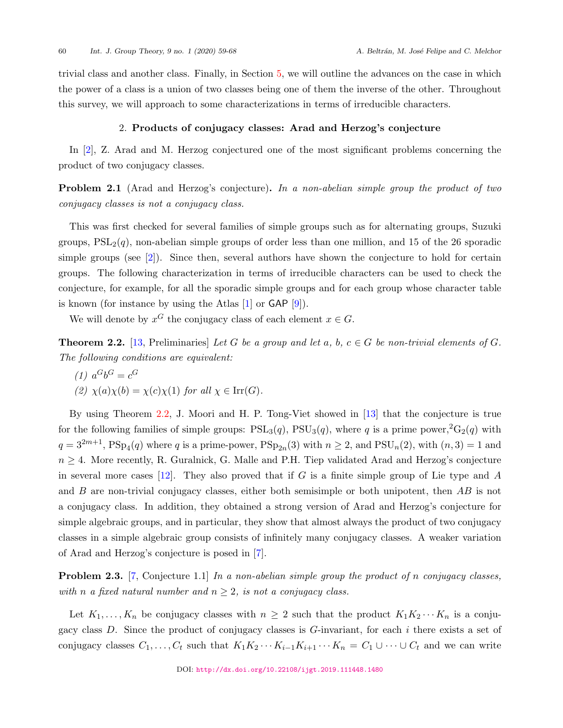trivial class and another class. Finally, in Section [5](#page-7-0), we will outline the advances on the case in which the power of a class is a union of two classes being one of them the inverse of the other. Throughout this survey, we will approach to some characterizations in terms of irreducible characters.

### 2. **Products of conjugacy classes: Arad and Herzog's conjecture**

<span id="page-1-2"></span>In [\[2\]](#page-8-0), Z. Arad and M. Herzog conjectured one of the most significant problems concerning the product of two conjugacy classes.

**Problem 2.1** (Arad and Herzog's conjecture)**.** *In a non-abelian simple group the product of two conjugacy classes is not a conjugacy class.*

This was first checked for several families of simple groups such as for alternating groups, Suzuki groups,  $PSL_2(q)$ , non-abelian simple groups of order less than one million, and 15 of the 26 sporadic simple groups (see  $[2]$  $[2]$  $[2]$ ). Since then, several authors have shown the conjecture to hold for certain groups. The following characterization in terms of irreducible characters can be used to check the conjecture, for example, for all the sporadic simple groups and for each group whose character table is known (for instance by using the Atlas  $[1]$  or GAP  $[9]$ ).

We will denote by  $x^G$  the conjugacy class of each element  $x \in G$ .

<span id="page-1-0"></span>**Theorem 2.2.** [\[13](#page-9-1), Preliminaries] Let G be a group and let  $a, b, c \in G$  be non-trivial elements of G. *The following conditions are equivalent:*

(1) 
$$
a^G b^G = c^G
$$
  
(2)  $\chi(a)\chi(b) = \chi(c)\chi(1)$  for all  $\chi \in \text{Irr}(G)$ .

By using Theorem [2.2,](#page-1-0) J. Moori and H. P. Tong-Viet showed in [[13\]](#page-9-1) that the conjecture is true for the following families of simple groups:  $PSL_3(q)$ ,  $PSU_3(q)$ , where q is a prime power,  ${}^2G_2(q)$  with  $q = 3^{2m+1}$ ,  $PSp_4(q)$  where *q* is a prime-power,  $PSp_{2n}(3)$  with  $n \ge 2$ , and  $PSU_n(2)$ , with  $(n, 3) = 1$  and *n* ≥ 4. More recently, R. Guralnick, G. Malle and P.H. Tiep validated Arad and Herzog's conjecture in several more cases [\[12](#page-9-2)]. They also proved that if *G* is a finite simple group of Lie type and *A* and *B* are non-trivial conjugacy classes, either both semisimple or both unipotent, then *AB* is not a conjugacy class. In addition, they obtained a strong version of Arad and Herzog's conjecture for simple algebraic groups, and in particular, they show that almost always the product of two conjugacy classes in a simple algebraic group consists of infinitely many conjugacy classes. A weaker variation of Arad and Herzog's conjecture is posed in [[7](#page-8-2)].

<span id="page-1-1"></span>**Problem 2.3.** [\[7,](#page-8-2) Conjecture 1.1] *In a non-abelian simple group the product of n conjugacy classes, with n a* fixed natural number and  $n \geq 2$ , is not a conjugacy class.

Let  $K_1, \ldots, K_n$  be conjugacy classes with  $n \geq 2$  such that the product  $K_1K_2 \cdots K_n$  is a conjugacy class *D*. Since the product of conjugacy classes is *G*-invariant, for each *i* there exists a set of conjugacy classes  $C_1, \ldots, C_t$  such that  $K_1K_2\cdots K_{i-1}K_{i+1}\cdots K_n = C_1\cup\cdots\cup C_t$  and we can write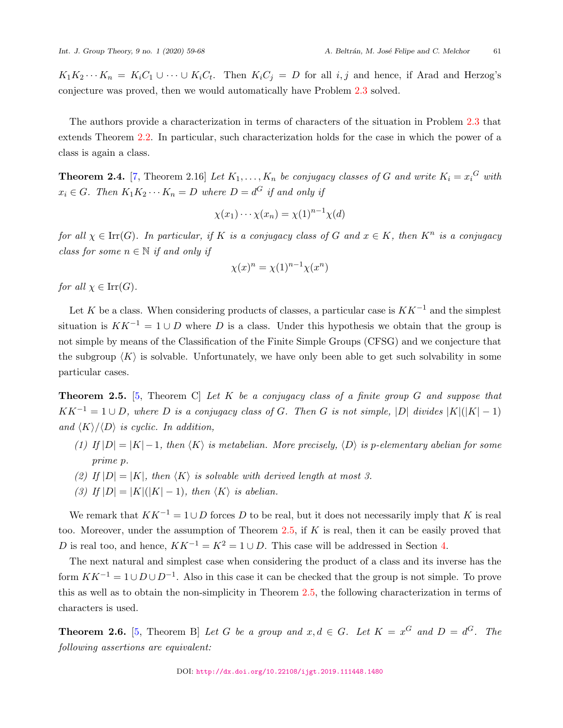$K_1K_2\cdots K_n = K_iC_1\cup\cdots\cup K_iC_t$ . Then  $K_iC_j = D$  for all  $i, j$  and hence, if Arad and Herzog's conjecture was proved, then we would automatically have Problem [2.3](#page-1-1) solved.

The authors provide a characterization in terms of characters of the situation in Problem [2.3](#page-1-1) that extends Theorem [2.2.](#page-1-0) In particular, such characterization holds for the case in which the power of a class is again a class.

**Theorem 2.4.** [\[7,](#page-8-2) Theorem 2.16] Let  $K_1, \ldots, K_n$  be conjugacy classes of G and write  $K_i = x_i^G$  with  $x_i \in G$ *. Then*  $K_1 K_2 \cdots K_n = D$  where  $D = d^G$  if and only if

$$
\chi(x_1)\cdots\chi(x_n)=\chi(1)^{n-1}\chi(d)
$$

*for all*  $\chi \in \text{Irr}(G)$ *. In particular, if K is a conjugacy class of G and*  $x \in K$ *, then*  $K^n$  *is a conjugacy class for some*  $n \in \mathbb{N}$  *if and only if* 

$$
\chi(x)^n = \chi(1)^{n-1} \chi(x^n)
$$

*for all*  $\chi \in \text{Irr}(G)$ *.* 

Let *K* be a class. When considering products of classes, a particular case is *KK−*<sup>1</sup> and the simplest situation is  $KK^{-1} = 1 \cup D$  where *D* is a class. Under this hypothesis we obtain that the group is not simple by means of the Classification of the Finite Simple Groups (CFSG) and we conjecture that the subgroup  $\langle K \rangle$  is solvable. Unfortunately, we have only been able to get such solvability in some particular cases.

<span id="page-2-0"></span>**Theorem 2.5.** [[5](#page-8-3), Theorem C] *Let K be a conjugacy class of a finite group G and suppose that*  $KK^{-1} = 1 \cup D$ , where D is a conjugacy class of G. Then G is not simple, |D| divides  $|K|(|K|-1)$ *and*  $\langle K \rangle / \langle D \rangle$  *is cyclic. In addition,* 

- (1) If  $|D| = |K| 1$ , then  $\langle K \rangle$  is metabelian. More precisely,  $\langle D \rangle$  is p-elementary abelian for some *prime p.*
- *(2)* If  $|D| = |K|$ , then  $\langle K \rangle$  is solvable with derived length at most 3.
- *(3) If*  $|D| = |K|(|K|-1)$ *, then*  $\langle K \rangle$  *is abelian.*

We remark that  $KK^{-1} = 1 \cup D$  forces *D* to be real, but it does not necessarily imply that *K* is real too. Moreover, under the assumption of Theorem [2.5](#page-2-0), if *K* is real, then it can be easily proved that *D* is real too, and hence,  $KK^{-1} = K^2 = 1 \cup D$ . This case will be addressed in Section [4](#page-5-0).

The next natural and simplest case when considering the product of a class and its inverse has the form *KK−*<sup>1</sup> = 1*∪ D ∪ D−*<sup>1</sup> . Also in this case it can be checked that the group is not simple. To prove this as well as to obtain the non-simplicity in Theorem [2.5,](#page-2-0) the following characterization in terms of characters is used.

**Theorem 2.6.** [\[5,](#page-8-3) Theorem B] *Let G be a group and*  $x, d \in G$ *. Let*  $K = x^G$  *and*  $D = d^G$ *. The following assertions are equivalent:*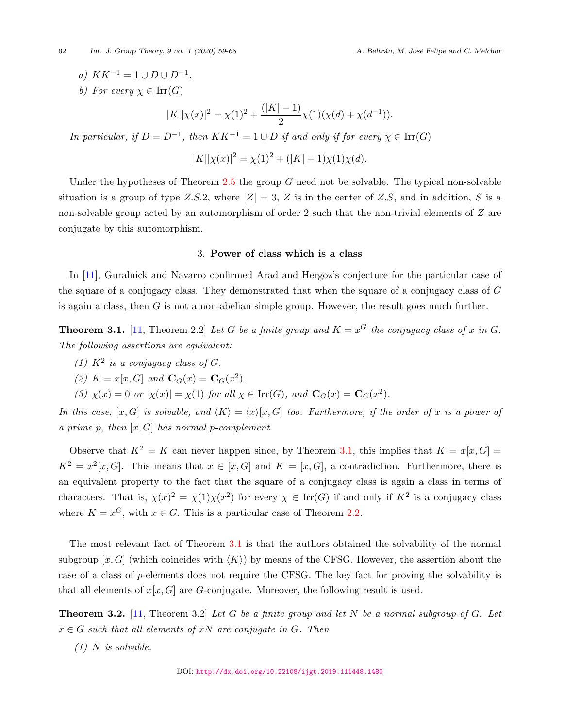$a)$   $KK^{-1} = 1 \cup D \cup D^{-1}$ .

*b*) *For every*  $\chi \in \text{Irr}(G)$ 

$$
|K||\chi(x)|^2 = \chi(1)^2 + \frac{(|K|-1)}{2}\chi(1)(\chi(d) + \chi(d^{-1})).
$$

*In particular, if*  $D = D^{-1}$ , then  $KK^{-1} = 1 \cup D$  *if and only if for every*  $\chi \in \text{Irr}(G)$ 

 $|K||\chi(x)|^2 = \chi(1)^2 + (|K| - 1)\chi(1)\chi(d)$ .

Under the hypotheses of Theorem [2.5](#page-2-0) the group *G* need not be solvable. The typical non-solvable situation is a group of type *Z.S.*2, where  $|Z| = 3$ , *Z* is in the center of *Z.S*, and in addition, *S* is a non-solvable group acted by an automorphism of order 2 such that the non-trivial elements of *Z* are conjugate by this automorphism.

#### 3. **Power of class which is a class**

In [[11](#page-9-3)], Guralnick and Navarro confirmed Arad and Hergoz's conjecture for the particular case of the square of a conjugacy class. They demonstrated that when the square of a conjugacy class of *G* is again a class, then *G* is not a non-abelian simple group. However, the result goes much further.

<span id="page-3-0"></span>**Theorem 3.1.** [\[11](#page-9-3), Theorem 2.2] *Let G be a finite group and*  $K = x^G$  *the conjugacy class of x in G. The following assertions are equivalent:*

- *(1)*  $K^2$  *is a conjugacy class of G.*
- (2)  $K = x[x, G]$  *and*  $C_G(x) = C_G(x^2)$ *.*

*(3)*  $\chi(x) = 0$  *or*  $|\chi(x)| = \chi(1)$  *for all*  $\chi \in \text{Irr}(G)$ *, and*  $\mathbf{C}_G(x) = \mathbf{C}_G(x^2)$ *.* 

*In this case,* [x, G] *is solvable, and*  $\langle K \rangle = \langle x \rangle [x, G]$  *too. Furthermore, if the order of* x *is a power of a prime p, then* [*x, G*] *has normal p-complement.*

Observe that  $K^2 = K$  can never happen since, by Theorem [3.1,](#page-3-0) this implies that  $K = x[x, G] =$  $K^2 = x^2[x, G]$ . This means that  $x \in [x, G]$  and  $K = [x, G]$ , a contradiction. Furthermore, there is an equivalent property to the fact that the square of a conjugacy class is again a class in terms of characters. That is,  $\chi(x)^2 = \chi(1)\chi(x^2)$  for every  $\chi \in \text{Irr}(G)$  if and only if  $K^2$  is a conjugacy class where  $K = x^G$ , with  $x \in G$ . This is a particular case of Theorem [2.2](#page-1-0).

The most relevant fact of Theorem [3.1](#page-3-0) is that the authors obtained the solvability of the normal subgroup  $[x, G]$  (which coincides with  $\langle K \rangle$ ) by means of the CFSG. However, the assertion about the case of a class of *p*-elements does not require the CFSG. The key fact for proving the solvability is that all elements of  $x[x, G]$  are *G*-conjugate. Moreover, the following result is used.

<span id="page-3-1"></span>**Theorem 3.2.** [[11,](#page-9-3) Theorem 3.2] *Let G be a finite group and let N be a normal subgroup of G. Let*  $x \in G$  *such that all elements of*  $xN$  *are conjugate in*  $G$ *. Then* 

*(1) N is solvable.*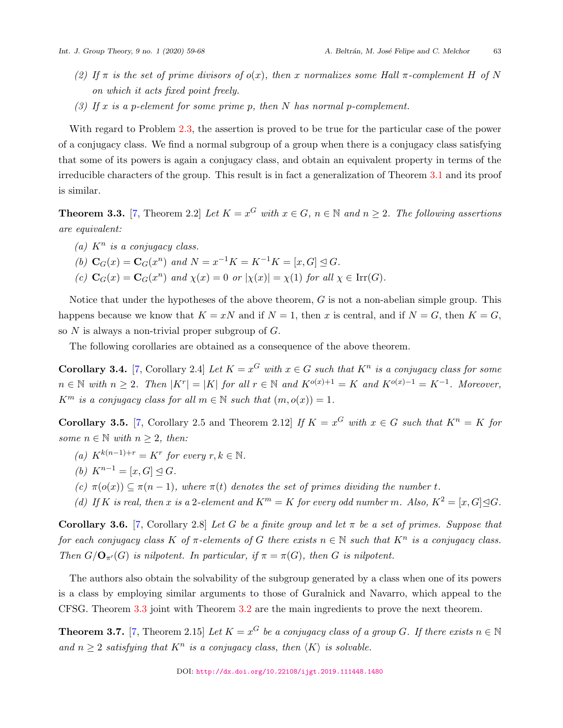- *(2)* If  $\pi$  *is the set of prime divisors of*  $o(x)$ *, then x normalizes some Hall*  $\pi$ -*complement H of N on which it acts fixed point freely.*
- *(3) If x is a p-element for some prime p, then N has normal p-complement.*

With regard to Problem [2.3,](#page-1-1) the assertion is proved to be true for the particular case of the power of a conjugacy class. We find a normal subgroup of a group when there is a conjugacy class satisfying that some of its powers is again a conjugacy class, and obtain an equivalent property in terms of the irreducible characters of the group. This result is in fact a generalization of Theorem [3.1](#page-3-0) and its proof is similar.

<span id="page-4-0"></span>**Theorem 3.3.** [\[7,](#page-8-2) Theorem 2.2] Let  $K = x^G$  with  $x \in G$ ,  $n \in \mathbb{N}$  and  $n \geq 2$ . The following assertions *are equivalent:*

- *(a) K<sup>n</sup> is a conjugacy class.*
- *(b)*  $\mathbf{C}_G(x) = \mathbf{C}_G(x^n)$  and  $N = x^{-1}K = K^{-1}K = [x, G] \leq G$ .
- *(c)*  $C_G(x) = C_G(x^n)$  *and*  $\chi(x) = 0$  *or*  $|\chi(x)| = \chi(1)$  *for all*  $\chi \in \text{Irr}(G)$ *.*

Notice that under the hypotheses of the above theorem, *G* is not a non-abelian simple group. This happens because we know that  $K = xN$  and if  $N = 1$ , then *x* is central, and if  $N = G$ , then  $K = G$ , so *N* is always a non-trivial proper subgroup of *G*.

The following corollaries are obtained as a consequence of the above theorem.

**Corollary 3.4.** [\[7,](#page-8-2) Corollary 2.4] Let  $K = x^G$  with  $x \in G$  such that  $K^n$  is a conjugacy class for some  $n \in \mathbb{N}$  with  $n \geq 2$ . Then  $|K^r| = |K|$  for all  $r \in \mathbb{N}$  and  $K^{o(x)+1} = K$  and  $K^{o(x)-1} = K^{-1}$ . Moreover, *K*<sup>*m*</sup> *is a conjugacy class for all*  $m \in \mathbb{N}$  *such that*  $(m, o(x)) = 1$ *.* 

**Corollary 3.5.** [[7](#page-8-2), Corollary 2.5 and Theorem 2.12] *If*  $K = x^G$  *with*  $x \in G$  *such that*  $K^n = K$  *for some*  $n \in \mathbb{N}$  *with*  $n \geq 2$ *, then:* 

- *(a)*  $K^{k(n-1)+r} = K^r$  *for every*  $r, k \in \mathbb{N}$ .
- *(b)*  $K^{n-1} = [x, G] ⊂ G$ *.*
- $(c)$   $\pi(o(x)) \subseteq \pi(n-1)$ , where  $\pi(t)$  denotes the set of primes dividing the number *t*.
- *(d) If K is real, then x is* a 2*-element and*  $K^m = K$  *for every odd number m. Also,*  $K^2 = [x, G] \triangleleft G$ .

**Corollary 3.6.** [\[7,](#page-8-2) Corollary 2.8] *Let G be a finite group and let*  $\pi$  *be a set of primes. Suppose that for each conjugacy class*  $K$  *of*  $\pi$ -elements of  $G$  there exists  $n \in \mathbb{N}$  *such that*  $K^n$  *is a conjugacy class. Then*  $G/O_{\pi'}(G)$  *is nilpotent. In particular, if*  $\pi = \pi(G)$ *, then G is nilpotent.* 

The authors also obtain the solvability of the subgroup generated by a class when one of its powers is a class by employing similar arguments to those of Guralnick and Navarro, which appeal to the CFSG. Theorem [3.3](#page-4-0) joint with Theorem [3.2](#page-3-1) are the main ingredients to prove the next theorem.

<span id="page-4-1"></span>**Theorem 3.7.** [\[7,](#page-8-2) Theorem 2.15] *Let*  $K = x^G$  *be a conjugacy class of a group G. If there exists*  $n \in \mathbb{N}$ *and*  $n \geq 2$  *satisfying that*  $K^n$  *is a conjugacy class, then*  $\langle K \rangle$  *is solvable.*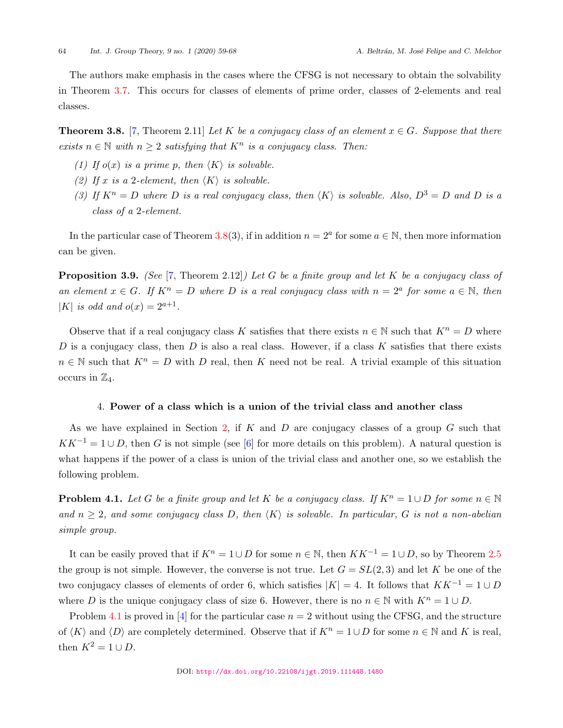The authors make emphasis in the cases where the CFSG is not necessary to obtain the solvability in Theorem [3.7](#page-4-1). This occurs for classes of elements of prime order, classes of 2-elements and real classes.

<span id="page-5-1"></span>**Theorem 3.8.** [\[7,](#page-8-2) Theorem 2.11] *Let*  $K$  *be a conjugacy class of an element*  $x \in G$ *. Suppose that there exists*  $n \in \mathbb{N}$  *with*  $n \geq 2$  *satisfying that*  $K^n$  *is a conjugacy class. Then:* 

- *(1) If*  $o(x)$  *is a prime p, then*  $\langle K \rangle$  *is solvable.*
- *(2)* If x is a 2-element, then  $\langle K \rangle$  is solvable.
- *(3)* If  $K^n = D$  where D is a real conjugacy class, then  $\langle K \rangle$  is solvable. Also,  $D^3 = D$  and D is a *class of a* 2*-element.*

In the particular case of Theorem [3.8\(](#page-5-1)3), if in addition  $n = 2<sup>a</sup>$  for some  $a \in \mathbb{N}$ , then more information can be given.

**Proposition 3.9.** *(See* [\[7,](#page-8-2) Theorem 2.12]*) Let G be a finite group and let K be a conjugacy class of an element*  $x \in G$ *. If*  $K^n = D$  *where D is a real conjugacy class with*  $n = 2^a$  *for some*  $a \in \mathbb{N}$ *, then |K| is odd and*  $o(x) = 2^{a+1}$ .

Observe that if a real conjugacy class *K* satisfies that there exists  $n \in \mathbb{N}$  such that  $K^n = D$  where *D* is a conjugacy class, then *D* is also a real class. However, if a class *K* satisfies that there exists  $n \in \mathbb{N}$  such that  $K^n = D$  with *D* real, then *K* need not be real. A trivial example of this situation occurs in  $\mathbb{Z}_4$ .

## 4. **Power of a class which is a union of the trivial class and another class**

<span id="page-5-0"></span>As we have explained in Section [2](#page-1-2), if *K* and *D* are conjugacy classes of a group *G* such that  $KK^{-1} = 1 \cup D$ , then *G* is not simple (see [[6](#page-8-4)] for more details on this problem). A natural question is what happens if the power of a class is union of the trivial class and another one, so we establish the following problem.

<span id="page-5-2"></span>**Problem 4.1.** *Let G be a finite group and let K be a conjugacy class. If*  $K^n = 1 \cup D$  *for some*  $n \in \mathbb{N}$ *and*  $n \geq 2$ *, and some conjugacy class D, then*  $\langle K \rangle$  *is solvable. In particular, G is not a non-abelian simple group.*

It can be easily proved that if  $K^n = 1 \cup D$  for some  $n \in \mathbb{N}$ , then  $KK^{-1} = 1 \cup D$ , so by Theorem [2.5](#page-2-0) the group is not simple. However, the converse is not true. Let  $G = SL(2, 3)$  and let K be one of the two conjugacy classes of elements of order 6, which satisfies  $|K| = 4$ . It follows that  $KK^{-1} = 1 \cup D$ where *D* is the unique conjugacy class of size 6. However, there is no  $n \in \mathbb{N}$  with  $K^n = 1 \cup D$ .

Problem [4.1](#page-5-2) is proved in [\[4\]](#page-8-5) for the particular case  $n = 2$  without using the CFSG, and the structure of  $\langle K \rangle$  and  $\langle D \rangle$  are completely determined. Observe that if  $K^n = 1 \cup D$  for some  $n \in \mathbb{N}$  and K is real, then  $K^2 = 1 \cup D$ .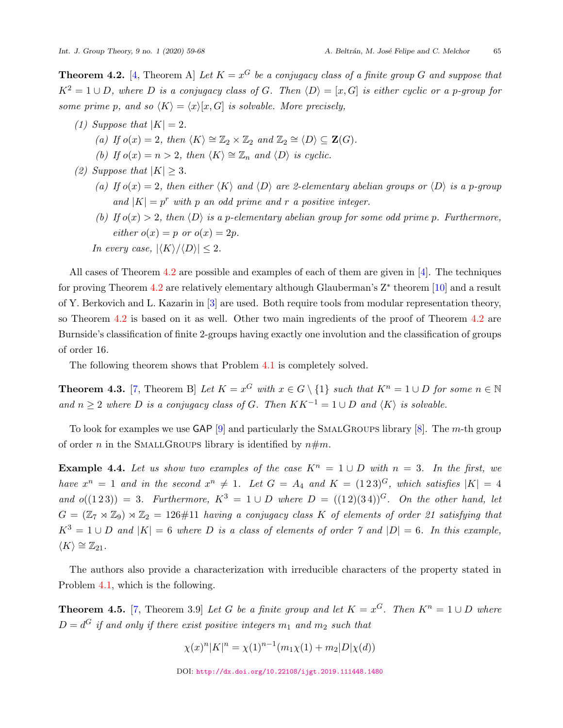<span id="page-6-0"></span>**Theorem [4](#page-8-5).2.** [4, Theorem A] *Let*  $K = x^G$  *be a conjugacy class of a finite group*  $G$  *and suppose that*  $K^2 = 1 \cup D$ , where D is a conjugacy class of G. Then  $\langle D \rangle = [x, G]$  is either cyclic or a *p*-group for *some prime p*, and so  $\langle K \rangle = \langle x \rangle [x, G]$  *is solvable. More precisely,* 

- *(1) Suppose that*  $|K| = 2$ *.* 
	- *(a) If*  $o(x) = 2$ *, then*  $\langle K \rangle \cong \mathbb{Z}_2 \times \mathbb{Z}_2$  *and*  $\mathbb{Z}_2 \cong \langle D \rangle \subseteq \mathbf{Z}(G)$ *.*
	- *(b) If*  $o(x) = n > 2$ *, then*  $\langle K \rangle \cong \mathbb{Z}_n$  *and*  $\langle D \rangle$  *is cyclic.*
- *(2) Suppose that*  $|K| \geq 3$ *.* 
	- (a) If  $o(x) = 2$ , then either  $\langle K \rangle$  and  $\langle D \rangle$  are 2-elementary abelian groups or  $\langle D \rangle$  is a p-group and  $|K| = p^r$  *with*  $p$  *an odd prime and*  $r$  *a positive integer.*
	- *(b)* If  $o(x) > 2$ , then  $\langle D \rangle$  is a *p*-elementary abelian group for some odd prime *p*. Furthermore,  $e^{i}$ *ither*  $o(x) = p$  *or*  $o(x) = 2p$ *.*
	- *In every case,*  $|\langle K \rangle / \langle D \rangle| \leq 2$ .

All cases of Theorem [4.2](#page-6-0) are possible and examples of each of them are given in [\[4\]](#page-8-5). The techniques for proving Theorem [4.2](#page-6-0) are relatively elementary although Glauberman's Z*∗* theorem [[10\]](#page-9-4) and a result of Y. Berkovich and L. Kazarin in [[3\]](#page-8-6) are used. Both require tools from modular representation theory, so Theorem [4.2](#page-6-0) is based on it as well. Other two main ingredients of the proof of Theorem 4.2 are Burnside's classification of finite 2-groups having exactly one involution and the classification of groups of order 16.

The following theorem shows that Problem [4.1](#page-5-2) is completely solved.

**Theorem 4.3.** [[7,](#page-8-2) Theorem B] Let  $K = x^G$  with  $x \in G \setminus \{1\}$  such that  $K^n = 1 \cup D$  for some  $n \in \mathbb{N}$ *and*  $n \geq 2$  *where D is a conjugacy class of G. Then*  $KK^{-1} = 1 ∪ D$  *and*  $\langle K \rangle$  *is solvable.* 

To look for examples we use GAP [\[9\]](#page-9-0) and particularly the SmalGroups library [[8](#page-9-5)]. The *m*-th group of order *n* in the SMALLGROUPS library is identified by  $n \# m$ .

**Example 4.4.** Let us show two examples of the case  $K^n = 1 \cup D$  with  $n = 3$ . In the first, we *have*  $x^n = 1$  *and in the second*  $x^n \neq 1$ *. Let*  $G = A_4$  *and*  $K = (1\,2\,3)^G$ *, which satisfies*  $|K| = 4$ *and*  $o((1\ 2\ 3)) = 3$ *. Furthermore,*  $K^3 = 1 \cup D$  *where*  $D = ((1\ 2)(3\ 4))^G$ *. On the other hand, let*  $G = (\mathbb{Z}_7 \rtimes \mathbb{Z}_9) \rtimes \mathbb{Z}_2 = 126 \# 11$  *having a conjugacy class K of elements of order 21 satisfying that*  $K^3 = 1 \cup D$  and  $|K| = 6$  where *D* is a class of elements of order 7 and  $|D| = 6$ . In this example,  $\langle K \rangle \cong \mathbb{Z}_{21}$ .

The authors also provide a characterization with irreducible characters of the property stated in Problem [4.1](#page-5-2), which is the following.

**Theorem 4.5.** [\[7](#page-8-2), Theorem 3.9] *Let G be a finite group and let*  $K = x^G$ *. Then*  $K^n = 1 \cup D$  *where*  $D = d^G$  *if and only if there exist positive integers*  $m_1$  *and*  $m_2$  *such that* 

$$
\chi(x)^n |K|^n = \chi(1)^{n-1} (m_1 \chi(1) + m_2 |D| \chi(d))
$$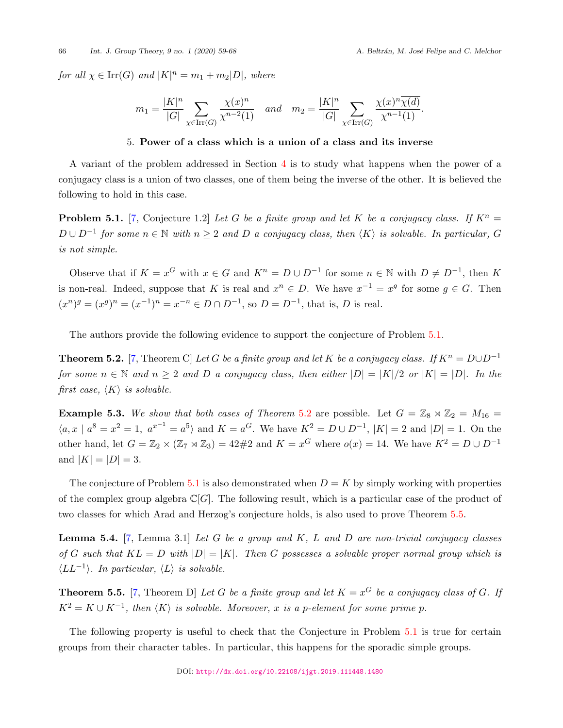66 *Int. J. Group Theory, 9 no. 1 (2020) 59-68 A. Beltr´an, M. Jos´e Felipe and C. Melchor*

*for all*  $\chi \in \text{Irr}(G)$  *and*  $|K|^n = m_1 + m_2|D|$ *, where* 

$$
m_1 = \frac{|K|^n}{|G|} \sum_{\chi \in \text{Irr}(G)} \frac{\chi(x)^n}{\chi^{n-2}(1)} \quad and \quad m_2 = \frac{|K|^n}{|G|} \sum_{\chi \in \text{Irr}(G)} \frac{\chi(x)^n \overline{\chi(d)}}{\chi^{n-1}(1)}.
$$

#### 5. **Power of a class which is a union of a class and its inverse**

<span id="page-7-0"></span>A variant of the problem addressed in Section [4](#page-5-0) is to study what happens when the power of a conjugacy class is a union of two classes, one of them being the inverse of the other. It is believed the following to hold in this case.

<span id="page-7-1"></span>**Problem 5.1.** [[7](#page-8-2), Conjecture 1.2] *Let G be a finite group and let K be a conjugacy class. If*  $K^n =$  $D \cup D^{-1}$  for some  $n \in \mathbb{N}$  with  $n \geq 2$  and  $D$  a conjugacy class, then  $\langle K \rangle$  is solvable. In particular,  $G$ *is not simple.*

Observe that if  $K = x^G$  with  $x \in G$  and  $K^n = D \cup D^{-1}$  for some  $n \in \mathbb{N}$  with  $D \neq D^{-1}$ , then K is non-real. Indeed, suppose that *K* is real and  $x^n \in D$ . We have  $x^{-1} = x^g$  for some  $g \in G$ . Then  $(x^n)^g = (x^g)^n = (x^{-1})^n = x^{-n} \in D \cap D^{-1}$ , so  $D = D^{-1}$ , that is, D is real.

The authors provide the following evidence to support the conjecture of Problem [5.1](#page-7-1).

<span id="page-7-2"></span>**Theorem 5.2.** [\[7,](#page-8-2) Theorem C] *Let G be a finite group and let K be a conjugacy class. If*  $K^n = D \cup D^{-1}$ for some  $n \in \mathbb{N}$  and  $n \geq 2$  and D a conjugacy class, then either  $|D| = |K|/2$  or  $|K| = |D|$ . In the *first case,*  $\langle K \rangle$  *is solvable.* 

**Example 5.3.** We show that both cases of Theorem [5.2](#page-7-2) are possible. Let  $G = \mathbb{Z}_8 \rtimes \mathbb{Z}_2 = M_{16} =$  $\langle a, x | a^8 = x^2 = 1, a^{x^{-1}} = a^5 \rangle$  and  $K = a^G$ . We have  $K^2 = D \cup D^{-1}$ ,  $|K| = 2$  and  $|D| = 1$ . On the other hand, let  $G = \mathbb{Z}_2 \times (\mathbb{Z}_7 \rtimes \mathbb{Z}_3) = 42 \# 2$  and  $K = x^G$  where  $o(x) = 14$ . We have  $K^2 = D \cup D^{-1}$ and  $|K| = |D| = 3$ .

The conjecture of Problem [5.1](#page-7-1) is also demonstrated when  $D = K$  by simply working with properties of the complex group algebra  $\mathbb{C}[G]$ . The following result, which is a particular case of the product of two classes for which Arad and Herzog's conjecture holds, is also used to prove Theorem [5.5](#page-7-3).

**Lemma 5.4.** [\[7](#page-8-2), Lemma 3.1] *Let G be a group and K, L and D are non-trivial conjugacy classes of G* such that  $KL = D$  with  $|D| = |K|$ . Then *G* possesses a solvable proper normal group which is *⟨LL−*<sup>1</sup> *⟩. In particular, ⟨L⟩ is solvable.*

<span id="page-7-3"></span>**Theorem 5.5.** [\[7,](#page-8-2) Theorem D] *Let G be a finite group and let*  $K = x^G$  *be a conjugacy class of G. If*  $K^2 = K \cup K^{-1}$ , then  $\langle K \rangle$  is solvable. Moreover, *x* is a *p*-element for some prime *p*.

The following property is useful to check that the Conjecture in Problem [5.1](#page-7-1) is true for certain groups from their character tables. In particular, this happens for the sporadic simple groups.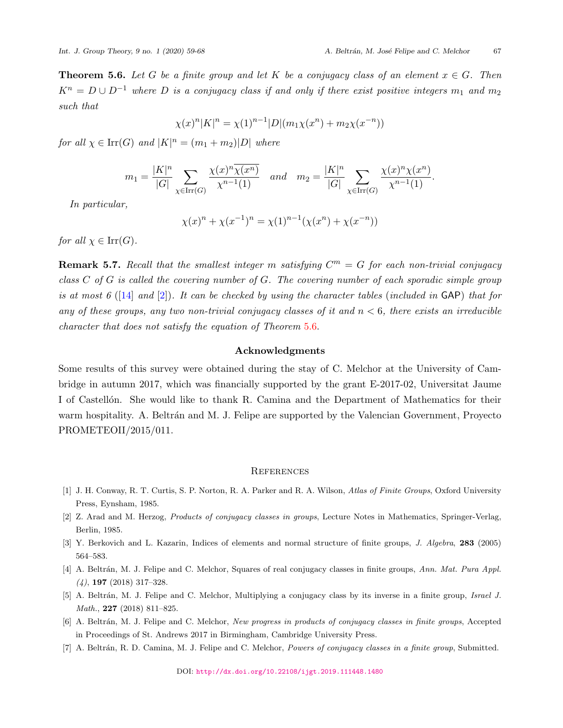<span id="page-8-7"></span>**Theorem 5.6.** *Let G be a finite group and let K be a conjugacy class of an element*  $x \in G$ *. Then*  $K^n = D \cup D^{-1}$  *where D is a conjugacy class if and only if there exist positive integers*  $m_1$  *and*  $m_2$ *such that*

$$
\chi(x)^n |K|^n = \chi(1)^{n-1} |D|(m_1 \chi(x^n) + m_2 \chi(x^{-n}))
$$

*for all*  $\chi \in \text{Irr}(G)$  *and*  $|K|^n = (m_1 + m_2)|D|$  *where* 

$$
m_1 = \frac{|K|^n}{|G|} \sum_{\chi \in \text{Irr}(G)} \frac{\chi(x)^n \overline{\chi(x^n)}}{\chi^{n-1}(1)} \quad and \quad m_2 = \frac{|K|^n}{|G|} \sum_{\chi \in \text{Irr}(G)} \frac{\chi(x)^n \chi(x^n)}{\chi^{n-1}(1)}.
$$

*In particular,*

$$
\chi(x)^n + \chi(x^{-1})^n = \chi(1)^{n-1}(\chi(x^n) + \chi(x^{-n}))
$$

*for all*  $\chi \in \text{Irr}(G)$ *.* 

**Remark 5.7.** Recall that the smallest integer m satisfying  $C^m = G$  for each non-trivial conjugacy *class C of G is called the covering number of G. The covering number of each sporadic simple group is at most 6* ([[14\]](#page-9-6) *and* [[2](#page-8-0)])*. It can be checked by using the character tables* (*included in* GAP) *that for any of these groups, any two non-trivial conjugacy classes of it and n <* 6*, there exists an irreducible character that does not satisfy the equation of Theorem* [5.6.](#page-8-7)

## **Acknowledgments**

Some results of this survey were obtained during the stay of C. Melchor at the University of Cambridge in autumn 2017, which was financially supported by the grant E-2017-02, Universitat Jaume I of Castellón. She would like to thank R. Camina and the Department of Mathematics for their warm hospitality. A. Beltrán and M. J. Felipe are supported by the Valencian Government, Proyecto PROMETEOII/2015/011.

## **REFERENCES**

- <span id="page-8-1"></span>[1] J. H. Conway, R. T. Curtis, S. P. Norton, R. A. Parker and R. A. Wilson, *Atlas of Finite Groups*, Oxford University Press, Eynsham, 1985.
- <span id="page-8-0"></span>[2] Z. Arad and M. Herzog, *Products of conjugacy classes in groups*, Lecture Notes in Mathematics, Springer-Verlag, Berlin, 1985.
- <span id="page-8-6"></span>[3] Y. Berkovich and L. Kazarin, Indices of elements and normal structure of finite groups, *J. Algebra*, **283** (2005) 564–583.
- <span id="page-8-5"></span>[4] A. Beltr´an, M. J. Felipe and C. Melchor, Squares of real conjugacy classes in finite groups, *Ann. Mat. Pura Appl. (4)*, **197** (2018) 317–328.
- <span id="page-8-3"></span>[5] A. Beltr´an, M. J. Felipe and C. Melchor, Multiplying a conjugacy class by its inverse in a finite group, *Israel J. Math.*, **227** (2018) 811–825.
- <span id="page-8-4"></span>[6] A. Beltr´an, M. J. Felipe and C. Melchor, *New progress in products of conjugacy classes in finite groups*, Accepted in Proceedings of St. Andrews 2017 in Birmingham, Cambridge University Press.
- <span id="page-8-2"></span>[7] A. Beltr´an, R. D. Camina, M. J. Felipe and C. Melchor, *Powers of conjugacy classes in a finite group*, Submitted.